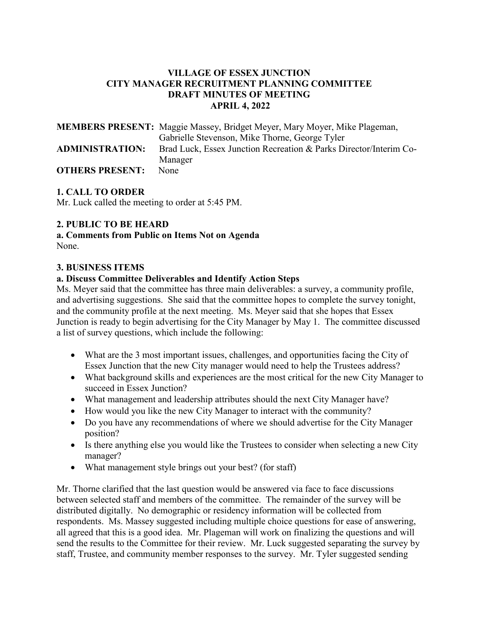# **VILLAGE OF ESSEX JUNCTION CITY MANAGER RECRUITMENT PLANNING COMMITTEE DRAFT MINUTES OF MEETING APRIL 4, 2022**

|                        | <b>MEMBERS PRESENT:</b> Maggie Massey, Bridget Meyer, Mary Moyer, Mike Plageman, |
|------------------------|----------------------------------------------------------------------------------|
|                        | Gabrielle Stevenson, Mike Thorne, George Tyler                                   |
| <b>ADMINISTRATION:</b> | Brad Luck, Essex Junction Recreation & Parks Director/Interim Co-                |
|                        | Manager                                                                          |
| <b>OTHERS PRESENT:</b> | None                                                                             |

# **1. CALL TO ORDER**

Mr. Luck called the meeting to order at 5:45 PM.

#### **2. PUBLIC TO BE HEARD**

**a. Comments from Public on Items Not on Agenda**  None.

#### **3. BUSINESS ITEMS**

#### **a. Discuss Committee Deliverables and Identify Action Steps**

Ms. Meyer said that the committee has three main deliverables: a survey, a community profile, and advertising suggestions. She said that the committee hopes to complete the survey tonight, and the community profile at the next meeting. Ms. Meyer said that she hopes that Essex Junction is ready to begin advertising for the City Manager by May 1. The committee discussed a list of survey questions, which include the following:

- What are the 3 most important issues, challenges, and opportunities facing the City of Essex Junction that the new City manager would need to help the Trustees address?
- What background skills and experiences are the most critical for the new City Manager to succeed in Essex Junction?
- What management and leadership attributes should the next City Manager have?
- How would you like the new City Manager to interact with the community?
- Do you have any recommendations of where we should advertise for the City Manager position?
- Is there anything else you would like the Trustees to consider when selecting a new City manager?
- What management style brings out your best? (for staff)

Mr. Thorne clarified that the last question would be answered via face to face discussions between selected staff and members of the committee. The remainder of the survey will be distributed digitally. No demographic or residency information will be collected from respondents. Ms. Massey suggested including multiple choice questions for ease of answering, all agreed that this is a good idea. Mr. Plageman will work on finalizing the questions and will send the results to the Committee for their review. Mr. Luck suggested separating the survey by staff, Trustee, and community member responses to the survey. Mr. Tyler suggested sending